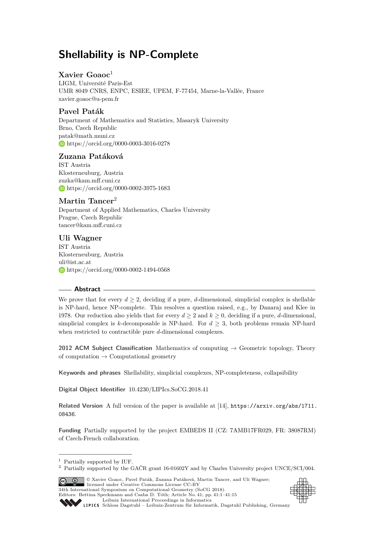# **Shellability is NP-Complete**

# **Xavier Goaoc**<sup>1</sup>

LIGM, Université Paris-Est UMR 8049 CNRS, ENPC, ESIEE, UPEM, F-77454, Marne-la-Vallée, France [xavier.goaoc@u-pem.fr](mailto:xavier.goaoc@u-pem.fr)

# **Pavel Paták**

Department of Mathematics and Statistics, Masaryk University Brno, Czech Republic [patak@math.muni.cz](mailto:patak@math.muni.cz) <https://orcid.org/0000-0003-3016-0278>

# **Zuzana Patáková**

IST Austria Klosterneuburg, Austria [zuzka@kam.mff.cuni.cz](mailto:zuzka@kam.mff.cuni.cz) <https://orcid.org/0000-0002-3975-1683>

# **Martin Tancer**<sup>2</sup>

Department of Applied Mathematics, Charles University Prague, Czech Republic [tancer@kam.mff.cuni.cz](mailto:tancer@kam.mff.cuni.cz)

# **Uli Wagner**

IST Austria Klosterneuburg, Austria [uli@ist.ac.at](mailto:uli@ist.ac.at) <https://orcid.org/0000-0002-1494-0568>

# **Abstract**

We prove that for every  $d \geq 2$ , deciding if a pure, *d*-dimensional, simplicial complex is shellable is NP-hard, hence NP-complete. This resolves a question raised, e.g., by Danaraj and Klee in 1978. Our reduction also yields that for every  $d \geq 2$  and  $k \geq 0$ , deciding if a pure, *d*-dimensional, simplicial complex is *k*-decomposable is NP-hard. For  $d \geq 3$ , both problems remain NP-hard when restricted to contractible pure *d*-dimensional complexes.

**2012 ACM Subject Classification** Mathematics of computing  $\rightarrow$  Geometric topology, Theory of computation  $\rightarrow$  Computational geometry

**Keywords and phrases** Shellability, simplicial complexes, NP-completeness, collapsibility

**Digital Object Identifier** [10.4230/LIPIcs.SoCG.2018.41](http://dx.doi.org/10.4230/LIPIcs.SoCG.2018.41)

**Related Version** A full version of the paper is available at [\[14\]](#page-13-0), [https://arxiv.org/abs/1711.](https://arxiv.org/abs/1711.08436) [08436](https://arxiv.org/abs/1711.08436).

**Funding** Partially supported by the project EMBEDS II (CZ: 7AMB17FR029, FR: 38087RM) of Czech-French collaboration.

<sup>2</sup> Partially supported by the GAČR grant 16-01602Y and by Charles University project UNCE/SCI/004.





Editors: Bettina Speckmann and Csaba D. Tóth; Article No. 41; pp. 41:1–41[:15](#page-14-0) [Leibniz International Proceedings in Informatics](http://www.dagstuhl.de/lipics/)

[Schloss Dagstuhl – Leibniz-Zentrum für Informatik, Dagstuhl Publishing, Germany](http://www.dagstuhl.de)

<sup>&</sup>lt;sup>1</sup> Partially supported by IUF.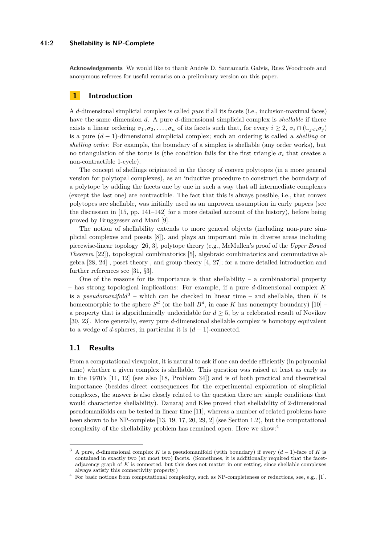#### **41:2 Shellability is NP-Complete**

**Acknowledgements** We would like to thank Andrés D. Santamaría Galvis, Russ Woodroofe and anonymous referees for useful remarks on a preliminary version on this paper.

# **1 Introduction**

A *d*-dimensional simplicial complex is called *pure* if all its facets (i.e., inclusion-maximal faces) have the same dimension *d*. A pure *d*-dimensional simplicial complex is *shellable* if there exists a linear ordering  $\sigma_1, \sigma_2, \ldots, \sigma_n$  of its facets such that, for every  $i \geq 2$ ,  $\sigma_i \cap (\cup_{i \leq i} \sigma_i)$ is a pure (*d* − 1)-dimensional simplicial complex; such an ordering is called a *shelling* or *shelling order*. For example, the boundary of a simplex is shellable (any order works), but no triangulation of the torus is (the condition fails for the first triangle  $\sigma_i$  that creates a non-contractible 1-cycle).

The concept of shellings originated in the theory of convex polytopes (in a more general version for polytopal complexes), as an inductive procedure to construct the boundary of a polytope by adding the facets one by one in such a way that all intermediate complexes (except the last one) are contractible. The fact that this is always possible, i.e., that convex polytopes are shellable, was initially used as an unproven assumption in early papers (see the discussion in  $[15, pp. 141-142]$  $[15, pp. 141-142]$  for a more detailed account of the history), before being proved by Bruggesser and Mani [\[9\]](#page-13-2).

The notion of shellability extends to more general objects (including non-pure simplicial complexes and posets [\[8\]](#page-13-3)), and plays an important role in diverse areas including piecewise-linear topology [\[26,](#page-14-1) [3\]](#page-13-4), polytope theory (e.g., McMullen's proof of the *Upper Bound Theorem* [\[22\]](#page-13-5)), topological combinatorics [\[5\]](#page-13-6), algebraic combinatorics and commutative algebra [\[28,](#page-14-2) [24\]](#page-13-7) , poset theory , and group theory [\[4,](#page-13-8) [27\]](#page-14-3); for a more detailed introduction and further references see [\[31,](#page-14-4) §3].

One of the reasons for its importance is that shellability  $-$  a combinatorial property – has strong topological implications: For example, if a pure *d*-dimensional complex *K* is a *pseudomanifold*<sup>[3](#page-1-0)</sup> – which can be checked in linear time – and shellable, then K is homeomorphic to the sphere  $S^d$  (or the ball  $B^d$ , in case K has nonempty boundary) [\[10\]](#page-13-9) – a property that is algorithmically undecidable for  $d \geq 5$ , by a celebrated result of Novikov [\[30,](#page-14-5) [23\]](#page-13-10). More generally, every pure *d*-dimensional shellable complex is homotopy equivalent to a wedge of *d*-spheres, in particular it is  $(d-1)$ -connected.

### **1.1 Results**

From a computational viewpoint, it is natural to ask if one can decide efficiently (in polynomial time) whether a given complex is shellable. This question was raised at least as early as in the 1970's [\[11,](#page-13-11) [12\]](#page-13-12) (see also [\[18,](#page-13-13) Problem 34]) and is of both practical and theoretical importance (besides direct consequences for the experimental exploration of simplicial complexes, the answer is also closely related to the question there are simple conditions that would characterize shellability). Danaraj and Klee proved that shellability of 2-dimensional pseudomanifolds can be tested in linear time [\[11\]](#page-13-11), whereas a number of related problems have been shown to be NP-complete  $[13, 19, 17, 20, 29, 2]$  $[13, 19, 17, 20, 29, 2]$  $[13, 19, 17, 20, 29, 2]$  $[13, 19, 17, 20, 29, 2]$  $[13, 19, 17, 20, 29, 2]$  $[13, 19, 17, 20, 29, 2]$  $[13, 19, 17, 20, 29, 2]$  $[13, 19, 17, 20, 29, 2]$  $[13, 19, 17, 20, 29, 2]$  $[13, 19, 17, 20, 29, 2]$  $[13, 19, 17, 20, 29, 2]$  (see Section [1.2\)](#page-3-0), but the computational complexity of the shellability problem has remained open. Here we show:[4](#page-1-1)

<span id="page-1-0"></span><sup>3</sup> A pure, *d*-dimensional complex *K* is a pseudomanifold (with boundary) if every (*d* − 1)-face of *K* is contained in exactly two (at most two) facets. (Sometimes, it is additionally required that the facetadjacency graph of *K* is connected, but this does not matter in our setting, since shellable complexes always satisfy this connectivity property.)

<span id="page-1-1"></span><sup>&</sup>lt;sup>4</sup> For basic notions from computational complexity, such as NP-completeness or reductions, see, e.g., [\[1\]](#page-12-0).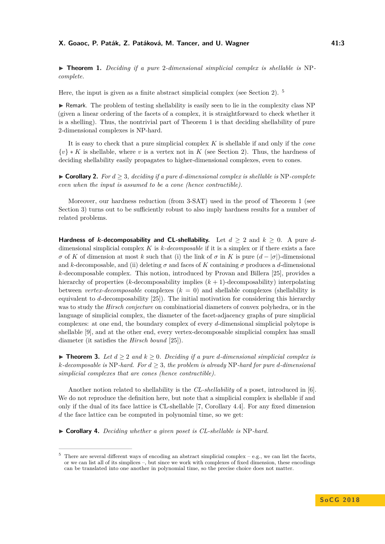<span id="page-2-1"></span>▶ **Theorem 1.** *Deciding if a pure 2-dimensional simplicial complex is shellable is* NP*complete.*

Here, the input is given as a finite abstract simplicial complex (see Section [2\)](#page-3-1). [5](#page-2-0)

 $\triangleright$  Remark. The problem of testing shellability is easily seen to lie in the complexity class NP (given a linear ordering of the facets of a complex, it is straightforward to check whether it is a shelling). Thus, the nontrivial part of Theorem [1](#page-2-1) is that deciding shellability of pure 2-dimensional complexes is NP-hard.

It is easy to check that a pure simplicial complex *K* is shellable if and only if the *cone* {*v*} ∗ *K* is shellable, where *v* is a vertex not in *K* (see Section [2\)](#page-3-1). Thus, the hardness of deciding shellability easily propagates to higher-dimensional complexes, even to cones.

 $\triangleright$  **Corollary 2.** For  $d > 3$ , deciding if a pure *d*-dimensional complex is shellable is NP-complete *even when the input is assumed to be a cone (hence contractible).*

Moreover, our hardness reduction (from 3-SAT) used in the proof of Theorem [1](#page-2-1) (see Section [3\)](#page-4-0) turns out to be sufficiently robust to also imply hardness results for a number of related problems.

**Hardness of** *k***-decomposability and CL-shellability.** Let  $d \geq 2$  and  $k \geq 0$ . A pure *d*dimensional simplicial complex *K* is *k-decomposable* if it is a simplex or if there exists a face *σ* of *K* of dimension at most *k* such that (i) the link of *σ* in *K* is pure  $(d - |\sigma|)$ -dimensional and *k*-decomposable, and (ii) deleting  $\sigma$  and faces of *K* containing  $\sigma$  produces a *d*-dimensional *k*-decomposable complex. This notion, introduced by Provan and Billera [\[25\]](#page-13-19), provides a hierarchy of properties (*k*-decomposability implies (*k* + 1)-decomposability) interpolating between *vertex-decomposable* complexes  $(k = 0)$  and shellable complexes (shellability is equivalent to *d*-decomposability [\[25\]](#page-13-19)). The initial motivation for considering this hierarchy was to study the *Hirsch conjecture* on combinatiorial diameters of convex polyhedra, or in the language of simplicial complex, the diameter of the facet-adjacency graphs of pure simplicial complexes: at one end, the boundary complex of every *d*-dimensional simplicial polytope is shellable [\[9\]](#page-13-2), and at the other end, every vertex-decomposable simplicial complex has small diameter (it satisfies the *Hirsch bound* [\[25\]](#page-13-19)).

<span id="page-2-2"></span>▶ **Theorem 3.** Let  $d \geq 2$  and  $k \geq 0$ . Deciding if a pure *d*-dimensional simplicial complex is  $k$ *-decomposable is* NP*-hard. For*  $d \geq 3$ *, the problem is already* NP*-hard for pure d-dimensional simplicial complexes that are cones (hence contractible).*

Another notion related to shellability is the *CL-shellability* of a poset, introduced in [\[6\]](#page-13-20). We do not reproduce the definition here, but note that a simplicial complex is shellable if and only if the dual of its face lattice is CL-shellable [\[7,](#page-13-21) Corollary 4.4]. For any fixed dimension *d* the face lattice can be computed in polynomial time, so we get:

▶ **Corollary 4.** *Deciding whether a given poset is CL-shellable is* NP-hard.

<span id="page-2-0"></span><sup>5</sup> There are several different ways of encoding an abstract simplicial complex – e.g., we can list the facets, or we can list all of its simplices –, but since we work with complexes of fixed dimension, these encodings can be translated into one another in polynomial time, so the precise choice does not matter.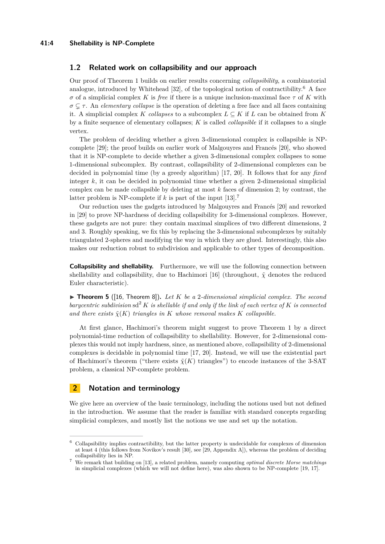#### **41:4 Shellability is NP-Complete**

#### <span id="page-3-0"></span>**1.2 Related work on collapsibility and our approach**

Our proof of Theorem [1](#page-2-1) builds on earlier results concerning *collapsibility*, a combinatorial analogue, introduced by Whitehead [\[32\]](#page-14-7), of the topological notion of contractibility.<sup>[6](#page-3-2)</sup> A face *σ* of a simplicial complex *K* is *free* if there is a unique inclusion-maximal face *τ* of *K* with *σ* ( *τ* . An *elementary collapse* is the operation of deleting a free face and all faces containing it. A simplicial complex *K collapses* to a subcomplex  $L \subseteq K$  if L can be obtained from K by a finite sequence of elementary collapses; *K* is called *collapsible* if it collapses to a single vertex.

The problem of deciding whether a given 3-dimensional complex is collapsible is NPcomplete [\[29\]](#page-14-6); the proof builds on earlier work of Malgouyres and Francés [\[20\]](#page-13-17), who showed that it is NP-complete to decide whether a given 3-dimensional complex collapses to some 1-dimensional subcomplex. By contrast, collapsibility of 2-dimensional complexes can be decided in polynomial time (by a greedy algorithm) [\[17,](#page-13-16) [20\]](#page-13-17). It follows that for any *fixed* integer *k*, it can be decided in polynomial time whether a given 2-dimensional simplicial complex can be made collapsible by deleting at most *k* faces of dimension 2; by contrast, the latter problem is NP-complete if  $k$  is part of the input  $[13]$ .<sup>[7](#page-3-3)</sup>

Our reduction uses the gadgets introduced by Malgouyres and Francés [\[20\]](#page-13-17) and reworked in [\[29\]](#page-14-6) to prove NP-hardness of deciding collapsibility for 3-dimensional complexes. However, these gadgets are not pure: they contain maximal simplices of two different dimensions, 2 and 3. Roughly speaking, we fix this by replacing the 3-dimensional subcomplexes by suitably triangulated 2-spheres and modifying the way in which they are glued. Interestingly, this also makes our reduction robust to subdivision and applicable to other types of decomposition.

**Collapsibility and shellability.** Furthermore, we will use the following connection between shellability and collapsibility, due to Hachimori [\[16\]](#page-13-22) (throughout,  $\tilde{\chi}$  denotes the reduced Euler characteristic).

<span id="page-3-4"></span> $\triangleright$  **Theorem 5** ([\[16,](#page-13-22) Theorem 8]). Let K be a 2-dimensional simplicial complex. The second *barycentric subdivision* sd<sup>2</sup>  $K$  *is shellable if and only if the link of each vertex of*  $K$  *is connected and there exists*  $\tilde{\chi}(K)$  *triangles in K whose removal makes K collapsible.* 

At first glance, Hachimori's theorem might suggest to prove Theorem [1](#page-2-1) by a direct polynomial-time reduction of collapsibility to shellability. However, for 2-dimensional complexes this would not imply hardness, since, as mentioned above, collapsibility of 2-dimensional complexes is decidable in polynomial time [\[17,](#page-13-16) [20\]](#page-13-17). Instead, we will use the existential part of Hachimori's theorem ("there exists  $\tilde{\chi}(K)$  triangles") to encode instances of the 3-SAT problem, a classical NP-complete problem.

# <span id="page-3-1"></span>**2 Notation and terminology**

We give here an overview of the basic terminology, including the notions used but not defined in the introduction. We assume that the reader is familiar with standard concepts regarding simplicial complexes, and mostly list the notions we use and set up the notation.

<span id="page-3-2"></span><sup>6</sup> Collapsibility implies contractibility, but the latter property is undecidable for complexes of dimension at least 4 (this follows from Novikov's result [\[30\]](#page-14-5), see [\[29,](#page-14-6) Appendix A]), whereas the problem of deciding collapsibility lies in NP.

<span id="page-3-3"></span><sup>7</sup> We remark that building on [\[13\]](#page-13-14), a related problem, namely computing *optimal discrete Morse matchings* in simplicial complexes (which we will not define here), was also shown to be NP-complete [\[19,](#page-13-15) [17\]](#page-13-16).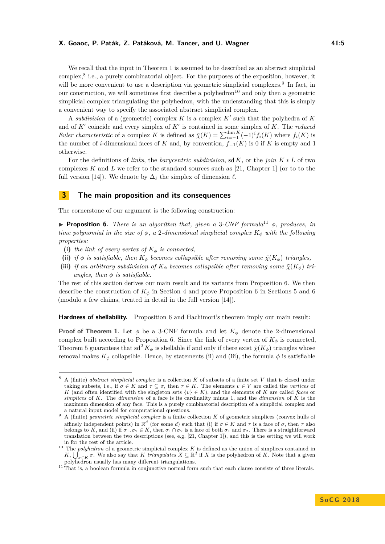We recall that the input in Theorem [1](#page-2-1) is assumed to be described as an abstract simplicial complex,<sup>[8](#page-4-1)</sup> i.e., a purely combinatorial object. For the purposes of the exposition, however, it will be more convenient to use a description via geometric simplicial complexes.<sup>[9](#page-4-2)</sup> In fact, in our construction, we will sometimes first describe a polyhedron<sup>[10](#page-4-3)</sup> and only then a geometric simplicial complex triangulating the polyhedron, with the understanding that this is simply a convenient way to specify the associated abstract simplicial complex.

A *subdivision* of a (geometric) complex  $K$  is a complex  $K'$  such that the polyhedra of  $K$ and of  $K'$  coincide and every simplex of  $K'$  is contained in some simplex of  $K$ . The *reduced Euler characteristic* of a complex *K* is defined as  $\tilde{\chi}(K) = \sum_{i=-1}^{\dim K} (-1)^i f_i(K)$  where  $f_i(K)$  is the number of *i*-dimensional faces of *K* and, by convention,  $f_{-1}(K)$  is 0 if *K* is empty and 1 otherwise.

For the definitions of *links*, the *barycentric subdivision*, sd *K*, or the *join K* ∗ *L* of two complexes  $K$  and  $L$  we refer to the standard sources such as [\[21,](#page-13-23) Chapter 1] (or to to the full version [\[14\]](#page-13-0)). We denote by  $\Delta_{\ell}$  the simplex of dimension  $\ell$ .

## <span id="page-4-0"></span>**3 The main proposition and its consequences**

The cornerstone of our argument is the following construction:

<span id="page-4-5"></span>**Proposition 6.** *There is an algorithm that, given a* 3*-CNF formula*<sup>[11](#page-4-4)</sup>  $\phi$ *, produces, in time polynomial in the size of*  $\phi$ , a 2-dimensional simplicial complex  $K_{\phi}$  with the following *properties:*

- (i) the link of every vertex of  $K_{\phi}$  is connected,
- **(ii)** *if*  $\phi$  *is satisfiable, then*  $K_{\phi}$  *becomes collapsible after removing some*  $\tilde{\chi}(K_{\phi})$  *triangles,*
- (iii) *if an arbitrary subdivision of*  $K_{\phi}$  *becomes collapsible after removing some*  $\tilde{\chi}(K_{\phi})$  *triangles, then*  $\phi$  *is satisfiable.*

The rest of this section derives our main result and its variants from Proposition [6.](#page-4-5) We then describe the construction of  $K_{\phi}$  in Section [4](#page-5-0) and prove Proposition [6](#page-11-0) in Sections [5](#page-10-0) and 6 (modulo a few claims, treated in detail in the full version [\[14\]](#page-13-0)).

**Hardness of shellability.** Proposition [6](#page-4-5) and Hachimori's theorem imply our main result:

**Proof of Theorem [1.](#page-2-1)** Let  $\phi$  be a 3-CNF formula and let  $K_{\phi}$  denote the 2-dimensional complex built according to Proposition [6.](#page-4-5) Since the link of every vertex of  $K_{\phi}$  is connected, Theorem [5](#page-3-4) guarantees that  $sd^2 K_{\phi}$  is shellable if and only if there exist  $\tilde{\chi}(K_{\phi})$  triangles whose removal makes  $K_{\phi}$  collapsible. Hence, by statements (ii) and (iii), the formula  $\phi$  is satisfiable

<span id="page-4-1"></span><sup>8</sup> A (finite) *abstract simplicial complex* is a collection *K* of subsets of a finite set *V* that is closed under taking subsets, i.e., if  $\sigma \in K$  and  $\tau \subset \sigma$ , then  $\tau \in K$ . The elements  $v \in V$  are called the *vertices* of *K* (and often identified with the singleton sets  $\{v\} \in K$ ), and the elements of *K* are called *faces* or *simplices* of *K*. The *dimension* of a face is its cardinality minus 1, and the *dimension* of *K* is the maximum dimension of any face. This is a purely combinatorial description of a simplicial complex and a natural input model for computational questions.

<span id="page-4-2"></span><sup>9</sup> A (finite) *geometric simplicial complex* is a finite collection *K* of geometric simplices (convex hulls of affinely independent points) in  $\mathbb{R}^d$  (for some *d*) such that (i) if  $\sigma \in K$  and  $\tau$  is a face of  $\sigma$ , then  $\tau$  also belongs to  $\hat{K}$ , and (ii) if  $\sigma_1, \sigma_2 \in \hat{K}$ , then  $\sigma_1 \cap \sigma_2$  is a face of both  $\sigma_1$  and  $\sigma_2$ . There is a straightforward translation between the two descriptions (see, e.g. [\[21,](#page-13-23) Chapter 1]), and this is the setting we will work in for the rest of the article.

<span id="page-4-3"></span><sup>&</sup>lt;sup>10</sup> The *polyhedron* of a geometric simplicial complex *K* is defined as the union of simplices contained in  $K, \bigcup_{\sigma \in K}^{\infty}$  *σ*. We also say that *K triangulates*  $X \subseteq \mathbb{R}^d$  if *X* is the polyhedron of *K*. Note that a given polyhedron usually has many different triangulations.

<span id="page-4-4"></span> $11$  That is, a boolean formula in conjunctive normal form such that each clause consists of three literals.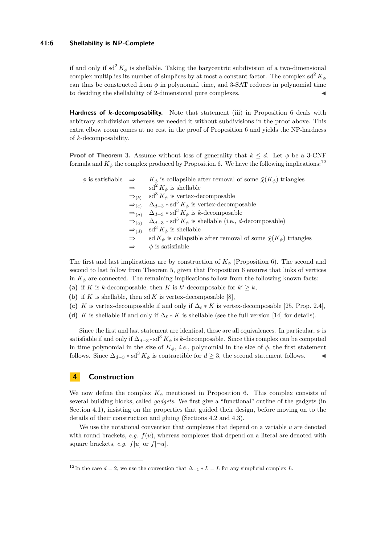#### **41:6 Shellability is NP-Complete**

if and only if  $sd^2 K_\phi$  is shellable. Taking the barycentric subdivision of a two-dimensional complex multiplies its number of simplices by at most a constant factor. The complex sd<sup>2</sup>  $K_{\phi}$ can thus be constructed from  $\phi$  in polynomial time, and 3-SAT reduces in polynomial time to deciding the shellability of 2-dimensional pure complexes.

**Hardness of** *k***-decomposability.** Note that statement (iii) in Proposition [6](#page-4-5) deals with arbitrary subdivision whereas we needed it without subdivisions in the proof above. This extra elbow room comes at no cost in the proof of Proposition [6](#page-4-5) and yields the NP-hardness of *k*-decomposability.

**Proof of Theorem [3.](#page-2-2)** Assume without loss of generality that  $k \leq d$ . Let  $\phi$  be a 3-CNF formula and  $K_{\phi}$  the complex produced by Proposition [6.](#page-4-5) We have the following implications:<sup>[12](#page-5-1)</sup>

| $\phi$ is satisfiable $\Rightarrow$ |                   | $K_{\phi}$ is collapsible after removal of some $\tilde{\chi}(K_{\phi})$ triangles                        |
|-------------------------------------|-------------------|-----------------------------------------------------------------------------------------------------------|
|                                     | $\Rightarrow$     | $\mathrm{sd}^2 K_{\phi}$ is shellable                                                                     |
|                                     | $\Rightarrow$ (b) | $sd^3 K_{\phi}$ is vertex-decomposable                                                                    |
|                                     |                   | $\Rightarrow_{(c)} \Delta_{d-3} * \text{sd}^3 K_{\phi}$ is vertex-decomposable                            |
|                                     |                   | $\Rightarrow_{(a)}$ $\Delta_{d-3}$ * sd <sup>3</sup> $K_{\phi}$ is k-decomposable                         |
|                                     |                   | $\Rightarrow_{(a)} \Delta_{d-3}$ * sd <sup>3</sup> $K_{\phi}$ is shellable (i.e., <i>d</i> -decomposable) |
|                                     |                   | $\Rightarrow_{(d)}$ sd <sup>3</sup> $K_{\phi}$ is shellable                                               |
|                                     | $\Rightarrow$     | sd $K_{\phi}$ is collapsible after removal of some $\tilde{\chi}(K_{\phi})$ triangles                     |
|                                     |                   | $\phi$ is satisfiable                                                                                     |
|                                     |                   |                                                                                                           |

The first and last implications are by construction of  $K_{\phi}$  (Proposition [6\)](#page-4-5). The second and second to last follow from Theorem [5,](#page-3-4) given that Proposition [6](#page-4-5) ensures that links of vertices in  $K_{\phi}$  are connected. The remaining implications follow from the following known facts:

- (a) if *K* is *k*-decomposable, then *K* is *k*'-decomposable for  $k' \geq k$ ,
- (b) if *K* is shellable, then sd *K* is vertex-decomposable [\[8\]](#page-13-3),
- (c) *K* is vertex-decomposable if and only if  $\Delta_{\ell} * K$  is vertex-decomposable [\[25,](#page-13-19) Prop. 2.4],
- (d) *K* is shellable if and only if  $\Delta_{\ell} * K$  is shellable (see the full version [\[14\]](#page-13-0) for details).

Since the first and last statement are identical, these are all equivalences. In particular,  $\phi$  is satisfiable if and only if  $\Delta_{d-3}$  ∗sd<sup>3</sup>  $K_{\phi}$  is *k*-decomposable. Since this complex can be computed in time polynomial in the size of  $K_{\phi}$ , *i.e.*, polynomial in the size of  $\phi$ , the first statement follows. Since  $\Delta_{d-3} * sd^3 K_\phi$  is contractible for  $d \geq 3$ , the second statement follows.

# <span id="page-5-0"></span>**4 Construction**

We now define the complex  $K_{\phi}$  mentioned in Proposition [6.](#page-4-5) This complex consists of several building blocks, called *gadgets*. We first give a "functional" outline of the gadgets (in Section [4.1\)](#page-6-0), insisting on the properties that guided their design, before moving on to the details of their construction and gluing (Sections [4.2](#page-7-0) and [4.3\)](#page-8-0).

We use the notational convention that complexes that depend on a variable *u* are denoted with round brackets, *e.g.*  $f(u)$ , whereas complexes that depend on a literal are denoted with square brackets, *e.g.*  $f[u]$  or  $f[\neg u]$ .

<span id="page-5-1"></span><sup>&</sup>lt;sup>12</sup> In the case  $d = 2$ , we use the convention that  $\Delta_{-1} * L = L$  for any simplicial complex *L*.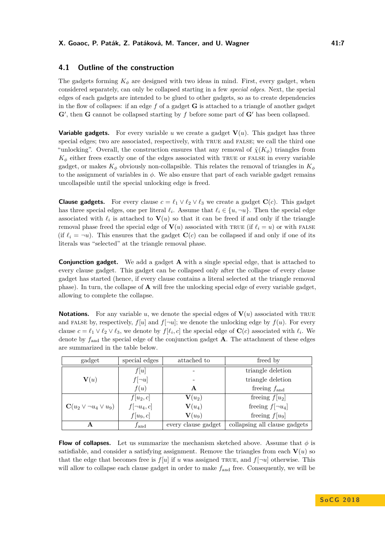## <span id="page-6-0"></span>**4.1 Outline of the construction**

The gadgets forming  $K_{\phi}$  are designed with two ideas in mind. First, every gadget, when considered separately, can only be collapsed starting in a few *special edges*. Next, the special edges of each gadgets are intended to be glued to other gadgets, so as to create dependencies in the flow of collapses: if an edge *f* of a gadget **G** is attached to a triangle of another gadget  $G'$ , then  $G$  cannot be collapsed starting by  $f$  before some part of  $G'$  has been collapsed.

**Variable gadgets.** For every variable *u* we create a gadget  $V(u)$ . This gadget has three special edges; two are associated, respectively, with TRUE and FALSE; we call the third one "unlocking". Overall, the construction ensures that any removal of  $\tilde{\chi}(K_{\phi})$  triangles from  $K_{\phi}$  either frees exactly one of the edges associated with TRUE or FALSE in every variable gadget, or makes  $K_{\phi}$  obviously non-collapsible. This relates the removal of triangles in  $K_{\phi}$ to the assignment of variables in  $\phi$ . We also ensure that part of each variable gadget remains uncollapsible until the special unlocking edge is freed.

**Clause gadgets.** For every clause  $c = \ell_1 \vee \ell_2 \vee \ell_3$  we create a gadget **C**(*c*). This gadget has three special edges, one per literal  $\ell_i$ . Assume that  $\ell_i \in \{u, \neg u\}$ . Then the special edge associated with  $\ell_i$  is attached to  $\mathbf{V}(u)$  so that it can be freed if and only if the triangle removal phase freed the special edge of  $\mathbf{V}(u)$  associated with TRUE (if  $\ell_i = u$ ) or with FALSE (if  $\ell_i = -u$ ). This ensures that the gadget  $\mathbf{C}(c)$  can be collapsed if and only if one of its literals was "selected" at the triangle removal phase.

**Conjunction gadget.** We add a gadget **A** with a single special edge, that is attached to every clause gadget. This gadget can be collapsed only after the collapse of every clause gadget has started (hence, if every clause contains a literal selected at the triangle removal phase). In turn, the collapse of **A** will free the unlocking special edge of every variable gadget, allowing to complete the collapse.

**Notations.** For any variable *u*, we denote the special edges of  $V(u)$  associated with TRUE and FALSE by, respectively,  $f[u]$  and  $f[\neg u]$ ; we denote the unlocking edge by  $f(u)$ . For every clause  $c = \ell_1 \vee \ell_2 \vee \ell_3$ , we denote by  $f[\ell_i, c]$  the special edge of  $\mathbf{C}(c)$  associated with  $\ell_i$ . We denote by *f*and the special edge of the conjunction gadget **A**. The attachment of these edges are summarized in the table below.

| gadget                          | special edges   | attached to         | freed by                      |
|---------------------------------|-----------------|---------------------|-------------------------------|
|                                 | f u             |                     | triangle deletion             |
| $\mathbf{V}(u)$                 | $f[\neg u]$     |                     | triangle deletion             |
|                                 | f(u)            | А                   | freeing $f_{\text{and}}$      |
|                                 | $f[u_2,c]$      | ${\bf V}(u_2)$      | freeing $f[u_2]$              |
| $C(u_2 \vee \neg u_4 \vee u_9)$ | $f[\neg u_4,c]$ | ${\bf V}(u_4)$      | freeing $f[\neg u_4]$         |
|                                 | $f[u_9,c]$      | ${\bf V}(u_9)$      | freeing $f[u_9]$              |
| A                               | $f_{\rm and}$   | every clause gadget | collapsing all clause gadgets |

**Flow of collapses.** Let us summarize the mechanism sketched above. Assume that  $\phi$  is satisfiable, and consider a satisfying assignment. Remove the triangles from each  $V(u)$  so that the edge that becomes free is  $f[u]$  if *u* was assigned TRUE, and  $f[\neg u]$  otherwise. This will allow to collapse each clause gadget in order to make *f*and free. Consequently, we will be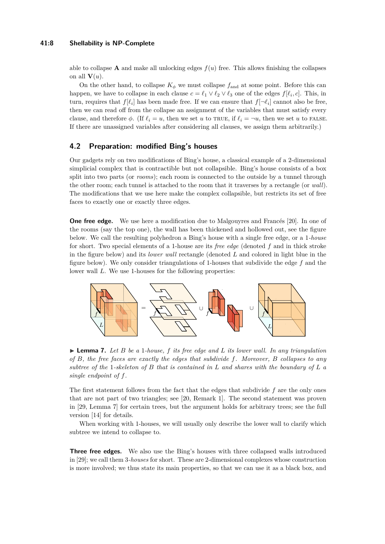able to collapse **A** and make all unlocking edges  $f(u)$  free. This allows finishing the collapses on all  $\mathbf{V}(u)$ .

On the other hand, to collapse  $K_{\phi}$  we must collapse  $f_{\text{and}}$  at some point. Before this can happen, we have to collapse in each clause  $c = \ell_1 \vee \ell_2 \vee \ell_3$  one of the edges  $f[\ell_i, c]$ . This, in turn, requires that  $f[\ell_i]$  has been made free. If we can ensure that  $f[\neg \ell_i]$  cannot also be free, then we can read off from the collapse an assignment of the variables that must satisfy every clause, and therefore  $\phi$ . (If  $\ell_i = u$ , then we set *u* to TRUE, if  $\ell_i = -u$ , then we set *u* to FALSE. If there are unassigned variables after considering all clauses, we assign them arbitrarily.)

# <span id="page-7-0"></span>**4.2 Preparation: modified Bing's houses**

Our gadgets rely on two modifications of Bing's house, a classical example of a 2-dimensional simplicial complex that is contractible but not collapsible. Bing's house consists of a box split into two parts (or *rooms*); each room is connected to the outside by a tunnel through the other room; each tunnel is attached to the room that it traverses by a rectangle (or *wall*). The modifications that we use here make the complex collapsible, but restricts its set of free faces to exactly one or exactly three edges.

**One free edge.** We use here a modification due to Malgouyres and Francés [\[20\]](#page-13-17). In one of the rooms (say the top one), the wall has been thickened and hollowed out, see the figure below. We call the resulting polyhedron a Bing's house with a single free edge, or a 1*-house* for short. Two special elements of a 1-house are its *free edge* (denoted *f* and in thick stroke in the figure below) and its *lower wall* rectangle (denoted *L* and colored in light blue in the figure below). We only consider triangulations of 1-houses that subdivide the edge *f* and the lower wall *L*. We use 1-houses for the following properties:



<span id="page-7-1"></span> $\blacktriangleright$  **Lemma 7.** Let *B* be a 1*-house, f* its free edge and *L* its lower wall. In any triangulation *of B, the free faces are exactly the edges that subdivide f. Moreover, B collapses to any subtree of the* 1*-skeleton of B that is contained in L and shares with the boundary of L a single endpoint of f.*

The first statement follows from the fact that the edges that subdivide *f* are the only ones that are not part of two triangles; see [\[20,](#page-13-17) Remark 1]. The second statement was proven in [\[29,](#page-14-6) Lemma 7] for certain trees, but the argument holds for arbitrary trees; see the full version [\[14\]](#page-13-0) for details.

When working with 1-houses, we will usually only describe the lower wall to clarify which subtree we intend to collapse to.

**Three free edges.** We also use the Bing's houses with three collapsed walls introduced in [\[29\]](#page-14-6); we call them 3*-houses* for short. These are 2-dimensional complexes whose construction is more involved; we thus state its main properties, so that we can use it as a black box, and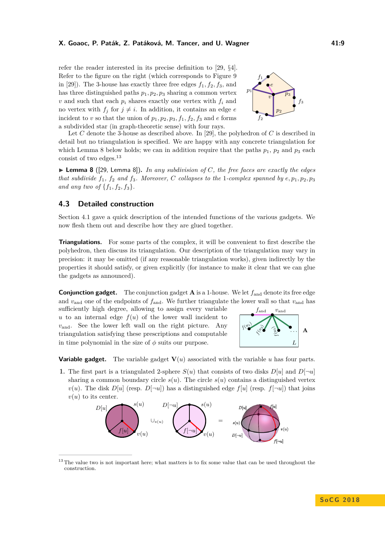refer the reader interested in its precise definition to [\[29,](#page-14-6) §4]. Refer to the figure on the right (which corresponds to Figure 9 in [\[29\]](#page-14-6)). The 3-house has exactly three free edges  $f_1, f_2, f_3$ , and has three distinguished paths *p*1*, p*2*, p*<sup>3</sup> sharing a common vertex  $v$  and such that each  $p_i$  shares exactly one vertex with  $f_i$  and no vertex with  $f_i$  for  $j \neq i$ . In addition, it contains an edge *e* incident to *v* so that the union of  $p_1, p_2, p_3, f_1, f_2, f_3$  and *e* forms a subdivided star (in graph-theoretic sense) with four rays.



Let *C* denote the 3-house as described above. In [\[29\]](#page-14-6), the polyhedron of *C* is described in detail but no triangulation is specified. We are happy with any concrete triangulation for which Lemma [8](#page-8-1) below holds; we can in addition require that the paths  $p_1$ ,  $p_2$  and  $p_3$  each consist of two edges.[13](#page-8-2)

<span id="page-8-1"></span>▶ Lemma 8 ([\[29,](#page-14-6) Lemma 8]). *In any subdivision of C*, the free faces are exactly the edges *that subdivide*  $f_1$ ,  $f_2$  *and*  $f_3$ *. Moreover, C collapses to the* 1*-complex spanned by*  $e, p_1, p_2, p_3$ *and any two of*  $\{f_1, f_2, f_3\}$ *.* 

### <span id="page-8-0"></span>**4.3 Detailed construction**

Section [4.1](#page-6-0) gave a quick description of the intended functions of the various gadgets. We now flesh them out and describe how they are glued together.

**Triangulations.** For some parts of the complex, it will be convenient to first describe the polyhedron, then discuss its triangulation. Our description of the triangulation may vary in precision: it may be omitted (if any reasonable triangulation works), given indirectly by the properties it should satisfy, or given explicitly (for instance to make it clear that we can glue the gadgets as announced).

**Conjunction gadget.** The conjunction gadget **A** is a 1-house. We let *f*and denote its free edge and  $v_{\text{and}}$  one of the endpoints of  $f_{\text{and}}$ . We further triangulate the lower wall so that  $v_{\text{and}}$  has

sufficiently high degree, allowing to assign every variable *u* to an internal edge  $f(u)$  of the lower wall incident to *v*and. See the lower left wall on the right picture. Any triangulation satisfying these prescriptions and computable in time polynomial in the size of  $\phi$  suits our purpose.



**Variable gadget.** The variable gadget **V**(*u*) associated with the variable *u* has four parts.

**1.** The first part is a triangulated 2-sphere  $S(u)$  that consists of two disks  $D[u]$  and  $D[\neg u]$ sharing a common boundary circle  $s(u)$ . The circle  $s(u)$  contains a distinguished vertex  $v(u)$ . The disk  $D[u]$  (resp.  $D[\neg u]$ ) has a distinguished edge  $f[u]$  (resp.  $f[\neg u]$ ) that joins  $v(u)$  to its center.



<span id="page-8-2"></span><sup>&</sup>lt;sup>13</sup> The value two is not important here; what matters is to fix some value that can be used throughout the construction.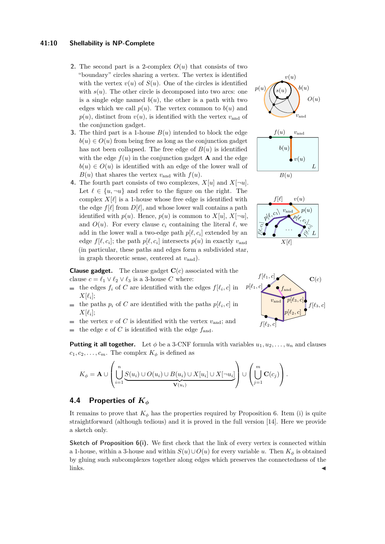#### **41:10 Shellability is NP-Complete**

- **2.** The second part is a 2-complex  $O(u)$  that consists of two "boundary" circles sharing a vertex. The vertex is identified with the vertex  $v(u)$  of  $S(u)$ . One of the circles is identified with  $s(u)$ . The other circle is decomposed into two arcs: one is a single edge named  $b(u)$ , the other is a path with two edges which we call  $p(u)$ . The vertex common to  $b(u)$  and  $p(u)$ , distinct from  $v(u)$ , is identified with the vertex  $v<sub>and</sub>$  of the conjunction gadget.
- **3.** The third part is a 1-house  $B(u)$  intended to block the edge  $b(u) \in O(u)$  from being free as long as the conjunction gadget has not been collapsed. The free edge of  $B(u)$  is identified with the edge  $f(u)$  in the conjunction gadget **A** and the edge  $b(u) \in O(u)$  is identified with an edge of the lower wall of  $B(u)$  that shares the vertex  $v_{\text{and}}$  with  $f(u)$ .
- **4.** The fourth part consists of two complexes,  $X[u]$  and  $X[\neg u]$ . Let  $\ell \in \{u, \neg u\}$  and refer to the figure on the right. The complex  $X[\ell]$  is a 1-house whose free edge is identified with the edge  $f[\ell]$  from  $D[\ell]$ , and whose lower wall contains a path identified with  $p(u)$ . Hence,  $p(u)$  is common to  $X[u]$ ,  $X[\neg u]$ , and  $O(u)$ . For every clause  $c_i$  containing the literal  $\ell$ , we add in the lower wall a two-edge path  $p[\ell, c_i]$  extended by an edge  $f[\ell, c_i]$ ; the path  $p[\ell, c_i]$  intersects  $p(u)$  in exactly  $v_{\text{and}}$ (in particular, these paths and edges form a subdivided star, in graph theoretic sense, centered at *v*and).





**Clause gadget.** The clause gadget **C**(*c*) associated with the clause  $c = \ell_1 \vee \ell_2 \vee \ell_3$  is a 3-house *C* where:

- the edges  $f_i$  of C are identified with the edges  $f[\ell_i, c]$  in  $X[\ell_i];$
- the paths  $p_i$  of C are identified with the paths  $p[\ell_i, c]$  in  $\sim$  $X[\ell_i]$ ;
- the vertex  $v$  of  $C$  is identified with the vertex  $v_{\text{and}}$ ; and  $\sim$
- the edge  $e$  of  $C$  is identified with the edge  $f_{\text{and}}$ .

**Putting it all together.** Let  $\phi$  be a 3-CNF formula with variables  $u_1, u_2, \ldots, u_n$  and clauses  $c_1, c_2, \ldots, c_m$ . The complex  $K_{\phi}$  is defined as

$$
K_{\phi} = \mathbf{A} \cup \left( \bigcup_{i=1}^{n} \underbrace{S(u_i) \cup O(u_i) \cup B(u_i) \cup X[u_i]}_{\mathbf{V}(u_i)} \cup \underbrace{X[\neg u_i]}_{\mathbf{V}} \right) \cup \left( \bigcup_{j=1}^{m} \mathbf{C}(c_j) \right).
$$

### **4.4 Properties of** *K<sup>φ</sup>*

It remains to prove that  $K_{\phi}$  has the properties required by Proposition [6.](#page-4-5) Item (i) is quite straightforward (although tedious) and it is proved in the full version [\[14\]](#page-13-0). Here we provide a sketch only.

**Sketch of Proposition [6\(](#page-4-5)i).** We first check that the link of every vertex is connected within a 1-house, within a 3-house and within  $S(u) \cup O(u)$  for every variable *u*. Then  $K_{\phi}$  is obtained by gluing such subcomplexes together along edges which preserves the connectedness of the  $\ln$ ks.

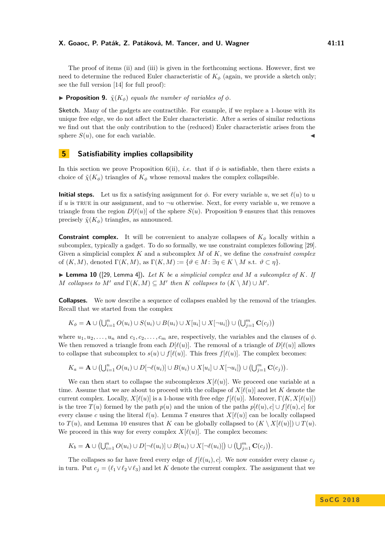The proof of items (ii) and (iii) is given in the forthcoming sections. However, first we need to determine the reduced Euler characteristic of  $K_\phi$  (again, we provide a sketch only; see the full version [\[14\]](#page-13-0) for full proof):

<span id="page-10-1"></span>**Proposition 9.**  $\tilde{\chi}(K_{\phi})$  *equals the number of variables of*  $\phi$ *.* 

**Sketch.** Many of the gadgets are contractible. For example, if we replace a 1-house with its unique free edge, we do not affect the Euler characteristic. After a series of similar reductions we find out that the only contribution to the (reduced) Euler characteristic arises from the sphere  $S(u)$ , one for each variable.

# <span id="page-10-0"></span>**5 Satisfiability implies collapsibility**

In this section we prove Proposition [6\(](#page-4-5)ii), *i.e.* that if  $\phi$  is satisfiable, then there exists a choice of  $\tilde{\chi}(K_{\phi})$  triangles of  $K_{\phi}$  whose removal makes the complex collapsible.

**Initial steps.** Let us fix a satisfying assignment for  $\phi$ . For every variable *u*, we set  $\ell(u)$  to *u* if *u* is TRUE in our assignment, and to  $\neg u$  otherwise. Next, for every variable *u*, we remove a triangle from the region  $D[\ell(u)]$  of the sphere  $S(u)$ . Proposition [9](#page-10-1) ensures that this removes precisely  $\tilde{\chi}(K_{\phi})$  triangles, as announced.

**Constraint complex.** It will be convenient to analyze collapses of  $K_{\phi}$  locally within a subcomplex, typically a gadget. To do so formally, we use constraint complexes following [\[29\]](#page-14-6). Given a simplicial complex *K* and a subcomplex *M* of *K*, we define the *constraint complex* of  $(K, M)$ , denoted  $\Gamma(K, M)$ , as  $\Gamma(K, M) := \{ \vartheta \in M : \exists \eta \in K \setminus M \text{ s.t. } \vartheta \subset \eta \}.$ 

<span id="page-10-2"></span> $\blacktriangleright$  **Lemma 10** ([\[29,](#page-14-6) Lemma 4]). Let K be a simplicial complex and M a subcomplex of K. If *M* collapses to  $M'$  and  $\Gamma(K, M) \subseteq M'$  then  $K$  collapses to  $(K \setminus M) \cup M'$ .

**Collapses.** We now describe a sequence of collapses enabled by the removal of the triangles. Recall that we started from the complex

$$
K_{\phi} = \mathbf{A} \cup (\bigcup_{i=1}^{n} O(u_i) \cup S(u_i) \cup B(u_i) \cup X[u_i] \cup X[\neg u_i]) \cup (\bigcup_{j=1}^{m} \mathbf{C}(c_j))
$$

where  $u_1, u_2, \ldots, u_n$  and  $c_1, c_2, \ldots, c_m$  are, respectively, the variables and the clauses of  $\phi$ . We then removed a triangle from each  $D[\ell(u)]$ . The removal of a triangle of  $D[\ell(u)]$  allows to collapse that subcomplex to  $s(u) \cup f[\ell(u)]$ . This frees  $f[\ell(u)]$ . The complex becomes:

$$
K_a = \mathbf{A} \cup (\bigcup_{i=1}^n O(u_i) \cup D[\neg \ell(u_i)] \cup B(u_i) \cup X[u_i] \cup X[\neg u_i]) \cup (\bigcup_{j=1}^m \mathbf{C}(c_j)).
$$

We can then start to collapse the subcomplexes  $X[\ell(u)]$ . We proceed one variable at a time. Assume that we are about to proceed with the collapse of  $X[\ell(u)]$  and let K denote the current complex. Locally,  $X[\ell(u)]$  is a 1-house with free edge  $f[\ell(u)]$ . Moreover,  $\Gamma(K, X[\ell(u)])$ is the tree  $T(u)$  formed by the path  $p(u)$  and the union of the paths  $p[\ell(u), c] \cup f[\ell(u), c]$  for every clause *c* using the literal  $\ell(u)$ . Lemma [7](#page-7-1) ensures that  $X[\ell(u)]$  can be locally collapsed to *T*(*u*), and Lemma [10](#page-10-2) ensures that *K* can be globally collapsed to  $(K \setminus X[\ell(u)]) \cup T(u)$ . We proceed in this way for every complex  $X[\ell(u)]$ . The complex becomes:

$$
K_b = \mathbf{A} \cup \left( \bigcup_{i=1}^n O(u_i) \cup D[\neg \ell(u_i)] \cup B(u_i) \cup X[\neg \ell(u_i)] \right) \cup \left( \bigcup_{j=1}^m \mathbf{C}(c_j) \right).
$$

The collapses so far have freed every edge of  $f[\ell(u_i), c]$ . We now consider every clause  $c_j$ in turn. Put  $c_j = (\ell_1 \vee \ell_2 \vee \ell_3)$  and let *K* denote the current complex. The assignment that we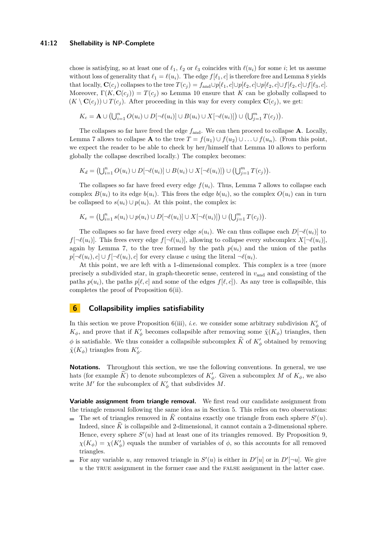#### **41:12 Shellability is NP-Complete**

chose is satisfying, so at least one of  $\ell_1$ ,  $\ell_2$  or  $\ell_3$  coincides with  $\ell(u_i)$  for some *i*; let us assume without loss of generality that  $\ell_1 = \ell(u_i)$ . The edge  $f[\ell_1, c]$  is therefore free and Lemma [8](#page-8-1) yields that locally,  $\mathbf{C}(c_j)$  collapses to the tree  $T(c_j) = f_{\text{and}} \cup p[\ell_1, c] \cup p[\ell_2, c] \cup p[\ell_2, c] \cup f[\ell_3, c]$ . Moreover,  $\Gamma(K, \mathbf{C}(c_i)) = T(c_i)$  so Lemma [10](#page-10-2) ensure that *K* can be globally collapsed to  $(K \setminus \mathbf{C}(c_i)) \cup T(c_i)$ . After proceeding in this way for every complex  $\mathbf{C}(c_i)$ , we get:

$$
K_c = \mathbf{A} \cup \left( \bigcup_{i=1}^n O(u_i) \cup D[\neg \ell(u_i)] \cup B(u_i) \cup X[\neg \ell(u_i)] \right) \cup \left( \bigcup_{j=1}^m T(c_j) \right).
$$

The collapses so far have freed the edge *f*and. We can then proceed to collapse **A**. Locally, Lemma [7](#page-7-1) allows to collapse **A** to the tree  $T = f(u_1) \cup f(u_2) \cup \ldots \cup f(u_n)$ . (From this point, we expect the reader to be able to check by her/himself that Lemma [10](#page-10-2) allows to perform globally the collapse described locally.) The complex becomes:

 $K_d = (\bigcup_{i=1}^n O(u_i) \cup D[\neg \ell(u_i)] \cup B(u_i) \cup X[\neg \ell(u_i)]) \cup (\bigcup_{j=1}^m T(c_j)).$ 

The collapses so far have freed every edge  $f(u_i)$ . Thus, Lemma [7](#page-7-1) allows to collapse each complex  $B(u_i)$  to its edge  $b(u_i)$ . This frees the edge  $b(u_i)$ , so the complex  $O(u_i)$  can in turn be collapsed to  $s(u_i) \cup p(u_i)$ . At this point, the complex is:

$$
K_e = \left(\bigcup_{i=1}^n s(u_i) \cup p(u_i) \cup D[\neg \ell(u_i)] \cup X[\neg \ell(u_i)]\right) \cup \left(\bigcup_{j=1}^m T(c_j)\right).
$$

The collapses so far have freed every edge  $s(u_i)$ . We can thus collapse each  $D[\neg \ell(u_i)]$  to  $f[\neg \ell(u_i)]$ . This frees every edge  $f[\neg \ell(u_i)]$ , allowing to collapse every subcomplex  $X[\neg \ell(u_i)]$ , again by Lemma [7,](#page-7-1) to the tree formed by the path  $p(u_i)$  and the union of the paths *p*[¬ $\ell$ ( $u_i$ )*, c*] ∪ *f*[¬ $\ell$ ( $u_i$ )*, c*] for every clause *c* using the literal ¬ $\ell$ ( $u_i$ ).

At this point, we are left with a 1-dimensional complex. This complex is a tree (more precisely a subdivided star, in graph-theoretic sense, centered in *v*and and consisting of the paths  $p(u_i)$ , the paths  $p[\ell, c]$  and some of the edges  $f[\ell, c]$ ). As any tree is collapsible, this completes the proof of Proposition [6\(](#page-4-5)ii).

## <span id="page-11-0"></span>**6 Collapsibility implies satisfiability**

In this section we prove Proposition [6\(](#page-4-5)iii), *i.e.* we consider some arbitrary subdivision  $K'_{\phi}$  of  $K_{\phi}$ , and prove that if  $K_{\phi}'$  becomes collapsible after removing some  $\tilde{\chi}(K_{\phi})$  triangles, then  $\phi$  is satisfiable. We thus consider a collapsible subcomplex  $\hat{K}$  of  $K'_{\phi}$  obtained by removing  $\tilde{\chi}(K_{\phi})$  triangles from  $K'_{\phi}$ .

**Notations.** Throughout this section, we use the following conventions. In general, we use hats (for example  $\hat{K}$ ) to denote subcomplexes of  $K'_{\phi}$ . Given a subcomplex *M* of  $K_{\phi}$ , we also write  $M'$  for the subcomplex of  $K'_{\phi}$  that subdivides  $M$ .

**Variable assignment from triangle removal.** We first read our candidate assignment from the triangle removal following the same idea as in Section [5.](#page-10-0) This relies on two observations:

- The set of triangles removed in  $\widehat{K}$  contains exactly one triangle from each sphere  $S'(u)$ .  $\equiv$ Indeed, since  $\hat{K}$  is collapsible and 2-dimensional, it cannot contain a 2-dimensional sphere. Hence, every sphere  $S'(u)$  had at least one of its triangles removed. By Proposition [9,](#page-10-1)  $\chi(K_{\phi}) = \chi(K_{\phi}')$  equals the number of variables of  $\phi$ , so this accounts for all removed triangles.
- For any variable *u*, any removed triangle in  $S'(u)$  is either in  $D'[u]$  or in  $D'[\neg u]$ . We give *u* the TRUE assignment in the former case and the FALSE assignment in the latter case.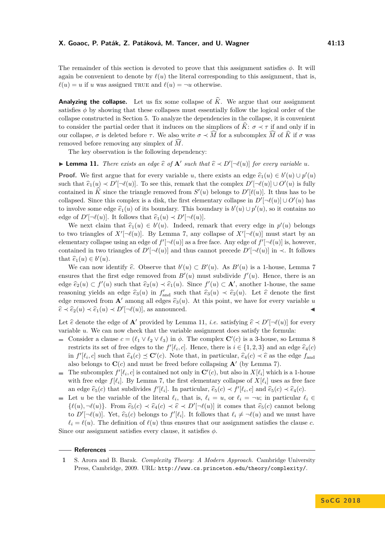The remainder of this section is devoted to prove that this assignment satisfies *φ*. It will again be convenient to denote by  $\ell(u)$  the literal corresponding to this assignment, that is,  $\ell(u) = u$  if *u* was assigned TRUE and  $\ell(u) = \neg u$  otherwise.

**Analyzing the collapse.** Let us fix some collapse of  $\widehat{K}$ . We argue that our assignment satisfies  $\phi$  by showing that these collapses must essentially follow the logical order of the collapse constructed in Section [5.](#page-10-0) To analyze the dependencies in the collapse, it is convenient to consider the partial order that it induces on the simplices of  $\tilde{K}$ :  $\sigma \prec \tau$  if and only if in our collapse,  $\sigma$  is deleted before  $\tau$ . We also write  $\sigma \prec \widehat{M}$  for a subcomplex  $\widehat{M}$  of  $\widehat{K}$  if  $\sigma$  was removed before removing any simplex of M.

The key observation is the following dependency:

<span id="page-12-1"></span>▶ **Lemma 11.** *There exists an edge*  $\widehat{e}$  *of* **A**<sup>*s*</sup> *such that*  $\widehat{e}$   $\prec$   $D'[\neg \ell(u)]$  *for every variable u.* 

**Proof.** We first argue that for every variable *u*, there exists an edge  $\hat{e}_1(u) \in b'(u) \cup p'(u)$ such that  $\hat{e}_1(u) \prec D'[\neg \ell(u)]$ . To see this, remark that the complex  $D'[\neg \ell(u)] \cup O'(u)$  is fully contained in  $\hat{K}$  since the triangle remayed from  $S'(\omega)$  belongs to  $D'[\ell(\omega)]$ . It thus has to be contained in  $\hat{K}$  since the triangle removed from  $S'(u)$  belongs to  $D'[\ell(u)]$ . It thus has to be collapsed. Since this complex is a disk, the first elementary collapse in  $D'[\neg \ell(u)] \cup O'(u)$  has to involve some edge  $\hat{e}_1(u)$  of its boundary. This boundary is  $b'(u) \cup p'(u)$ , so it contains no<br>
codes of  $D^{\prime}$ ,  $\ell(u)$ , It follows that  $\hat{e}_1(u) \cup D^{\prime}(\ell(u))$ edge of  $D'[\neg \ell(u)]$ . It follows that  $\hat{\epsilon}_1(u) \prec D'[\neg \ell(u)]$ .<br>We next alsim that  $\hat{\epsilon}(u) \in k'(u)$ . Indeed, non-

We next claim that  $\hat{e}_1(u) \in b'(u)$ . Indeed, remark that every edge in  $p'(u)$  belongs to two triangles of  $X'[\neg \ell(u)]$ . By Lemma [7,](#page-7-1) any collapse of  $X'[\neg \ell(u)]$  must start by an elementary collapse using an edge of  $f'[\neg \ell(u)]$  as a free face. Any edge of  $f'[\neg \ell(u)]$  is, however, contained in two triangles of  $D'[\neg \ell(u)]$  and thus cannot precede  $D'[\neg \ell(u)]$  in  $\prec$ . It follows that  $\hat{e}_1(u) \in b'(u)$ .

We can now identify  $\hat{e}$ . Observe that  $b'(u) \subset B'(u)$ . As  $B'(u)$  is a 1-house, Lemma [7](#page-7-1)<br>was that the first edge remayed from  $B'(u)$  must subdivide  $f'(u)$ . Hence, there is an ensures that the first edge removed from  $B'(u)$  must subdivide  $f'(u)$ . Hence, there is an edge  $\hat{e}_2(u) \subset f'(u)$  such that  $\hat{e}_2(u) \prec \hat{e}_1(u)$ . Since  $f'(u) \subset \mathbf{A}'$ , another 1-house, the same reasoning yields an edge  $\hat{e}_3(u)$  in  $f'_{\text{and}}$  such that  $\hat{e}_3(u) \prec \hat{e}_2(u)$ . Let  $\hat{e}$  denote the first edge removed from  $\mathbf{A}'$  among all edges  $\hat{e}_3(u)$ . At this point, we have for every variable *u*  $\hat{e} \prec \hat{e}_2(u) \prec \hat{e}_1(u) \prec D'[\neg \ell(u)],$  as announced.

Let  $\hat{e}$  denote the edge of **A**<sup>*'*</sup> provided by Lemma [11,](#page-12-1) *i.e.* satisfying  $\hat{e} \prec D'[\neg \ell(u)]$  for every variable *u*. We can now check that the variable assignment does satisfy the formula:

- Consider a clause  $c = (\ell_1 \vee \ell_2 \vee \ell_3)$  in  $\phi$ . The complex  $\mathbf{C}'(c)$  is a 3-house, so Lemma [8](#page-8-1) restricts its set of free edges to the  $f'[\ell_i, c]$ . Hence, there is  $i \in \{1, 2, 3\}$  and an edge  $\hat{e}_4(c)$ <br>in  $f'[\ell]$  algebra that  $\hat{e}_4(c) \leq G'(\epsilon)$ . Note that in particular  $\hat{e}_4(c) \neq \hat{e}_3$  as the edge f in  $f'[\ell_i, c]$  such that  $\hat{e}_4(c) \preceq \mathbf{C}'(c)$ . Note that, in particular,  $\hat{e}_4(c) \prec \hat{e}$  as the edge  $f_{\text{and}}$ also belongs to  $\mathbf{C}(c)$  and must be freed before collapsing  $\mathbf{A}'$  (by Lemma [7\)](#page-7-1).
- The subcomplex  $f'[\ell_i, c]$  is contained not only in  $\mathbf{C}'(c)$ , but also in  $X[\ell_i]$  which is a 1-house  $\sim$ with free edge  $f[\ell_i]$ . By Lemma [7,](#page-7-1) the first elementary collapse of  $X[\ell_i]$  uses as free face an edge  $\hat{e}_5(c)$  that subdivides  $f'[\ell_i]$ . In particular,  $\hat{e}_5(c) \prec f'[\ell_i, c]$  and  $\hat{e}_5(c) \prec \hat{e}_4(c)$ .
- Let *u* be the variable of the literal  $\ell_i$ , that is,  $\ell_i = u$ , or  $\ell_i = -u$ ; in particular  $\ell_i \in$  $\{\ell(u), \neg \ell(u)\}.$  From  $\hat{e}_5(c) \prec \hat{e}_4(c) \prec \hat{e} \prec D'[\neg \ell(u)]$  it comes that  $\hat{e}_5(c)$  cannot belong<br>to  $D'[\ell(u)]$ . Yet  $\hat{e}_5(c)$  belongs to  $f'[\ell]$ . It follows that  $\ell(u)$ ,  $\ell(u)$  and we must have to  $D'[\neg \ell(u)]$ . Yet,  $\hat{e}_5(c)$  belongs to  $f'[\ell_i]$ . It follows that  $\ell_i \neq \neg \ell(u)$  and we must have  $\ell_i = \ell(u)$ . The definition of  $\ell(u)$  thus ensures that our assignment satisfies the clause *c*.

Since our assignment satisfies every clause, it satisfies *φ*.

#### **References**

**S o C G 2 0 1 8**

<span id="page-12-0"></span>**<sup>1</sup>** S. Arora and B. Barak. *Complexity Theory: A Modern Approach*. Cambridge University Press, Cambridge, 2009. URL: <http://www.cs.princeton.edu/theory/complexity/>.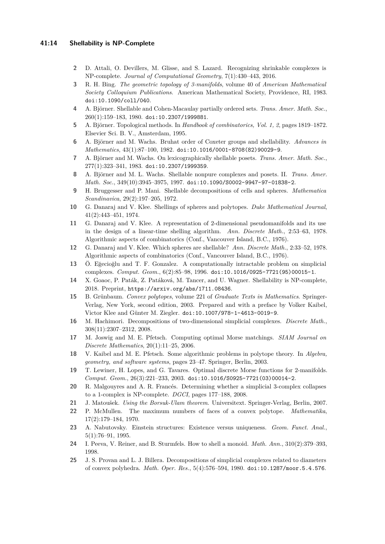### **41:14 Shellability is NP-Complete**

- <span id="page-13-18"></span>**2** D. Attali, O. Devillers, M. Glisse, and S. Lazard. Recognizing shrinkable complexes is NP-complete. *Journal of Computational Geometry*, 7(1):430–443, 2016.
- <span id="page-13-4"></span>**3** R. H. Bing. *The geometric topology of 3-manifolds*, volume 40 of *American Mathematical Society Colloquium Publications*. American Mathematical Society, Providence, RI, 1983. [doi:10.1090/coll/040](http://dx.doi.org/10.1090/coll/040).
- <span id="page-13-8"></span>**4** A. Björner. Shellable and Cohen-Macaulay partially ordered sets. *Trans. Amer. Math. Soc.*, 260(1):159–183, 1980. [doi:10.2307/1999881](http://dx.doi.org/10.2307/1999881).
- <span id="page-13-6"></span>**5** A. Björner. Topological methods. In *Handbook of combinatorics, Vol. 1, 2*, pages 1819–1872. Elsevier Sci. B. V., Amsterdam, 1995.
- <span id="page-13-20"></span>**6** A. Björner and M. Wachs. Bruhat order of Coxeter groups and shellability. *Advances in Mathematics*, 43(1):87–100, 1982. [doi:10.1016/0001-8708\(82\)90029-9](http://dx.doi.org/10.1016/0001-8708(82)90029-9).
- <span id="page-13-21"></span>**7** A. Björner and M. Wachs. On lexicographically shellable posets. *Trans. Amer. Math. Soc.*, 277(1):323–341, 1983. [doi:10.2307/1999359](http://dx.doi.org/10.2307/1999359).
- <span id="page-13-3"></span>**8** A. Björner and M. L. Wachs. Shellable nonpure complexes and posets. II. *Trans. Amer. Math. Soc.*, 349(10):3945–3975, 1997. [doi:10.1090/S0002-9947-97-01838-2](http://dx.doi.org/10.1090/S0002-9947-97-01838-2).
- <span id="page-13-2"></span>**9** H. Bruggesser and P. Mani. Shellable decompositions of cells and spheres. *Mathematica Scandinavica*, 29(2):197–205, 1972.
- <span id="page-13-9"></span>**10** G. Danaraj and V. Klee. Shellings of spheres and polytopes. *Duke Mathematical Journal*, 41(2):443–451, 1974.
- <span id="page-13-11"></span>**11** G. Danaraj and V. Klee. A representation of 2-dimensional pseudomanifolds and its use in the design of a linear-time shelling algorithm. *Ann. Discrete Math.*, 2:53–63, 1978. Algorithmic aspects of combinatorics (Conf., Vancouver Island, B.C., 1976).
- <span id="page-13-12"></span>**12** G. Danaraj and V. Klee. Which spheres are shellable? *Ann. Discrete Math.*, 2:33–52, 1978. Algorithmic aspects of combinatorics (Conf., Vancouver Island, B.C., 1976).
- <span id="page-13-14"></span>**13** Ö. Eğecioğlu and T. F. Gonzalez. A computationally intractable problem on simplicial complexes. *Comput. Geom.*, 6(2):85–98, 1996. [doi:10.1016/0925-7721\(95\)00015-1](http://dx.doi.org/10.1016/0925-7721(95)00015-1).
- <span id="page-13-0"></span>**14** X. Goaoc, P. Paták, Z. Patáková, M. Tancer, and U. Wagner. Shellability is NP-complete, 2018. Preprint, <https://arxiv.org/abs/1711.08436>.
- <span id="page-13-1"></span>**15** B. Grünbaum. *Convex polytopes*, volume 221 of *Graduate Texts in Mathematics*. Springer-Verlag, New York, second edition, 2003. Prepared and with a preface by Volker Kaibel, Victor Klee and Günter M. Ziegler. [doi:10.1007/978-1-4613-0019-9](http://dx.doi.org/10.1007/978-1-4613-0019-9).
- <span id="page-13-22"></span>**16** M. Hachimori. Decompositions of two-dimensional simplicial complexes. *Discrete Math.*, 308(11):2307–2312, 2008.
- <span id="page-13-16"></span>**17** M. Joswig and M. E. Pfetsch. Computing optimal Morse matchings. *SIAM Journal on Discrete Mathematics*, 20(1):11–25, 2006.
- <span id="page-13-13"></span>**18** V. Kaibel and M. E. Pfetsch. Some algorithmic problems in polytope theory. In *Algebra, geometry, and software systems*, pages 23–47. Springer, Berlin, 2003.
- <span id="page-13-15"></span>**19** T. Lewiner, H. Lopes, and G. Tavares. Optimal discrete Morse functions for 2-manifolds. *Comput. Geom.*, 26(3):221–233, 2003. [doi:10.1016/S0925-7721\(03\)00014-2](http://dx.doi.org/10.1016/S0925-7721(03)00014-2).
- <span id="page-13-17"></span>**20** R. Malgouyres and A. R. Francés. Determining whether a simplicial 3-complex collapses to a 1-complex is NP-complete. *DGCI*, pages 177–188, 2008.
- <span id="page-13-23"></span>**21** J. Matoušek. *Using the Borsuk-Ulam theorem*. Universitext. Springer-Verlag, Berlin, 2007.
- <span id="page-13-5"></span>**22** P. McMullen. The maximum numbers of faces of a convex polytope. *Mathematika*, 17(2):179–184, 1970.
- <span id="page-13-10"></span>**23** A. Nabutovsky. Einstein structures: Existence versus uniqueness. *Geom. Funct. Anal.*, 5(1):76–91, 1995.
- <span id="page-13-7"></span>**24** I. Peeva, V. Reiner, and B. Sturmfels. How to shell a monoid. *Math. Ann.*, 310(2):379–393, 1998.
- <span id="page-13-19"></span>**25** J. S. Provan and L. J. Billera. Decompositions of simplicial complexes related to diameters of convex polyhedra. *Math. Oper. Res.*, 5(4):576–594, 1980. [doi:10.1287/moor.5.4.576](http://dx.doi.org/10.1287/moor.5.4.576).